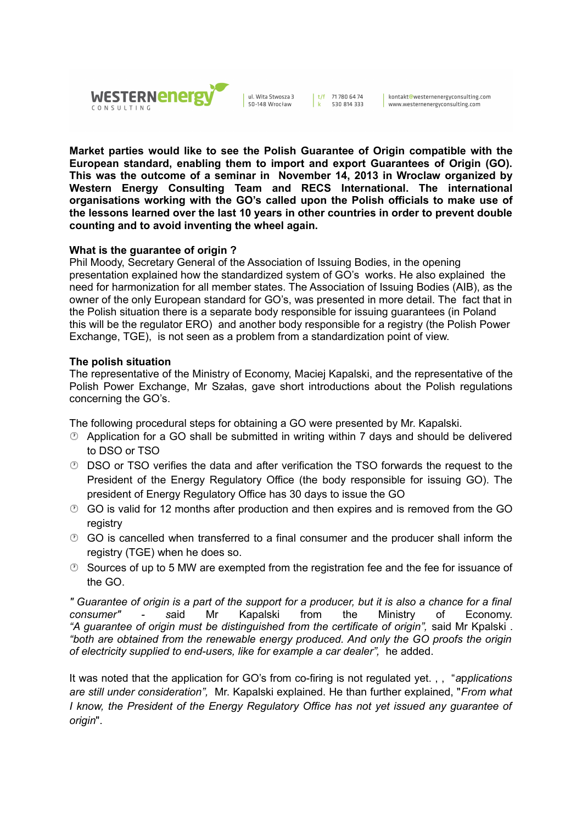

ul. Wita Stwosza 3 50-148 Wrocław

|  $t/f$  71780 6474 530 814 333

kontakt@westernenergyconsulting.com www.westernenergyconsulting.com

**Market parties would like to see the Polish Guarantee of Origin compatible with the European standard, enabling them to import and export Guarantees of Origin (GO). This was the outcome of a seminar in November 14, 2013 in Wroclaw organized by Western Energy Consulting Team and RECS International. The international organisations working with the GO's called upon the Polish officials to make use of the lessons learned over the last 10 years in other countries in order to prevent double counting and to avoid inventing the wheel again.**

## **What is the guarantee of origin ?**

Phil Moody, Secretary General of the Association of Issuing Bodies, in the opening presentation explained how the standardized system of GO's works. He also explained the need for harmonization for all member states. The Association of Issuing Bodies (AIB), as the owner of the only European standard for GO's, was presented in more detail. The fact that in the Polish situation there is a separate body responsible for issuing guarantees (in Poland this will be the regulator ERO) and another body responsible for a registry (the Polish Power Exchange, TGE), is not seen as a problem from a standardization point of view.

### **The polish situation**

The representative of the Ministry of Economy, Maciej Kapalski, and the representative of the Polish Power Exchange, Mr Szałas, gave short introductions about the Polish regulations concerning the GO's.

The following procedural steps for obtaining a GO were presented by Mr. Kapalski.

- Application for a GO shall be submitted in writing within 7 days and should be delivered to DSO or TSO
- DSO or TSO verifies the data and after verification the TSO forwards the request to the President of the Energy Regulatory Office (the body responsible for issuing GO). The president of Energy Regulatory Office has 30 days to issue the GO
- GO is valid for 12 months after production and then expires and is removed from the GO registry
- $\odot$  GO is cancelled when transferred to a final consumer and the producer shall inform the registry (TGE) when he does so.
- $\circled{2}$  Sources of up to 5 MW are exempted from the registration fee and the fee for issuance of the GO.

*" Guarantee of origin is a part of the support for a producer, but it is also a chance for a final consumer" - s*aid Mr Kapalski from the Ministry of Economy. *"A guarantee of origin must be distinguished from the certificate of origin",* said Mr Kpalski . *"both are obtained from the renewable energy produced. And only the GO proofs the origin of electricity supplied to end-users, like for example a car dealer",* he added.

It was noted that the application for GO's from co-firing is not regulated yet. , , "*a*p*plications are still under consideration",* Mr. Kapalski explained. He than further explained, "*From what I know, the President of the Energy Regulatory Office has not yet issued any guarantee of origin*".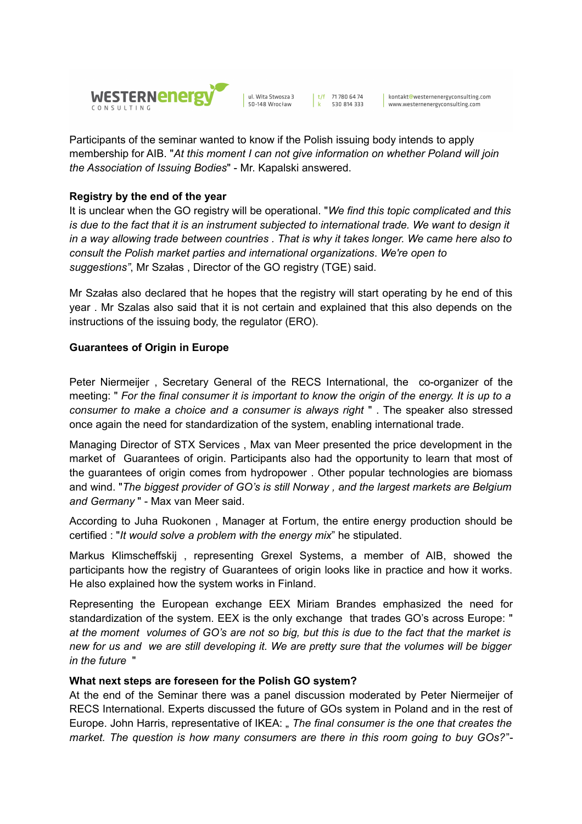

ul. Wita Stwosza 3 50-148 Wrocław

|  $t/f$  71780 6474

530 814 333

kontakt@westernenergyconsulting.com www.westernenergyconsulting.com

Participants of the seminar wanted to know if the Polish issuing body intends to apply membership for AIB. "*At this moment I can not give information on whether Poland will join the Association of Issuing Bodies*" - Mr. Kapalski answered.

# **Registry by the end of the year**

It is unclear when the GO registry will be operational. "*We find this topic complicated and this is due to the fact that it is an instrument subjected to international trade. We want to design it in a way allowing trade between countries . That is why it takes longer. We came here also to consult the Polish market parties and international organizations*. *We're open to suggestions"*, Mr Szałas , Director of the GO registry (TGE) said.

Mr Szałas also declared that he hopes that the registry will start operating by he end of this year . Mr Szalas also said that it is not certain and explained that this also depends on the instructions of the issuing body, the regulator (ERO).

# **Guarantees of Origin in Europe**

Peter Niermeijer , Secretary General of the RECS International, the co-organizer of the meeting: " *For the final consumer it is important to know the origin of the energy. It is up to a consumer to make a choice and a consumer is always right* " . The speaker also stressed once again the need for standardization of the system, enabling international trade.

Managing Director of STX Services , Max van Meer presented the price development in the market of Guarantees of origin. Participants also had the opportunity to learn that most of the guarantees of origin comes from hydropower . Other popular technologies are biomass and wind. "*The biggest provider of GO's is still Norway , and the largest markets are Belgium and Germany* " - Max van Meer said.

According to Juha Ruokonen , Manager at Fortum, the entire energy production should be certified : "*It would solve a problem with the energy mix*" he stipulated.

Markus Klimscheffskij , representing Grexel Systems, a member of AIB, showed the participants how the registry of Guarantees of origin looks like in practice and how it works. He also explained how the system works in Finland.

Representing the European exchange EEX Miriam Brandes emphasized the need for standardization of the system. EEX is the only exchange that trades GO's across Europe: " *at the moment volumes of GO's are not so big, but this is due to the fact that the market is new for us and we are still developing it. We are pretty sure that the volumes will be bigger in the future* "

## **What next steps are foreseen for the Polish GO system?**

At the end of the Seminar there was a panel discussion moderated by Peter Niermeijer of RECS International. Experts discussed the future of GOs system in Poland and in the rest of Europe. John Harris, representative of IKEA: " *The final consumer is the one that creates the market. The question is how many consumers are there in this room going to buy GOs?*"-